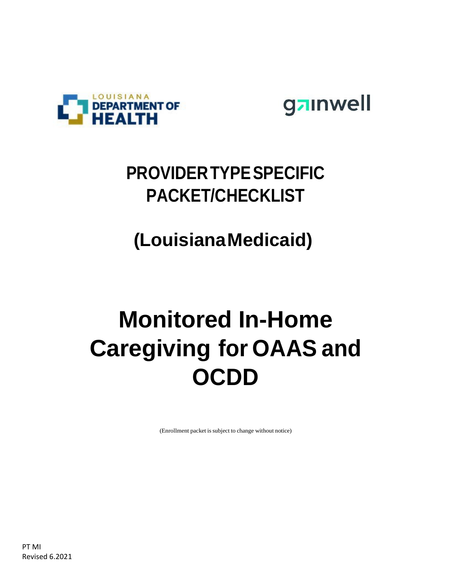



### **PROVIDERTYPESPECIFIC PACKET/CHECKLIST**

## **(LouisianaMedicaid)**

## **Monitored In-Home Caregiving for OAAS and OCDD**

(Enrollment packet is subject to change without notice)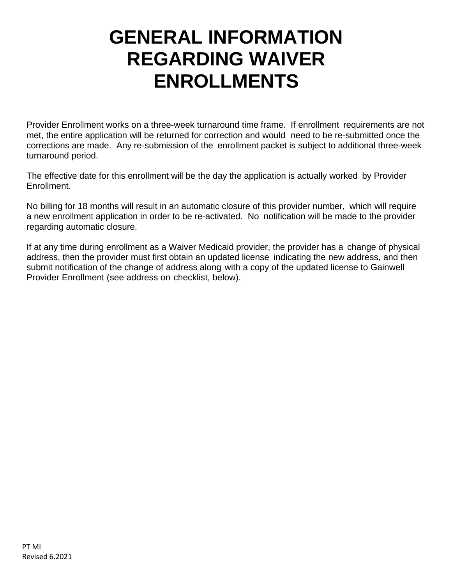### **GENERAL INFORMATION REGARDING WAIVER ENROLLMENTS**

Provider Enrollment works on a three-week turnaround time frame. If enrollment requirements are not met, the entire application will be returned for correction and would need to be re-submitted once the corrections are made. Any re-submission of the enrollment packet is subject to additional three-week turnaround period.

The effective date for this enrollment will be the day the application is actually worked by Provider Enrollment.

No billing for 18 months will result in an automatic closure of this provider number, which will require a new enrollment application in order to be re-activated. No notification will be made to the provider regarding automatic closure.

If at any time during enrollment as a Waiver Medicaid provider, the provider has a change of physical address, then the provider must first obtain an updated license indicating the new address, and then submit notification of the change of address along with a copy of the updated license to Gainwell Provider Enrollment (see address on checklist, below).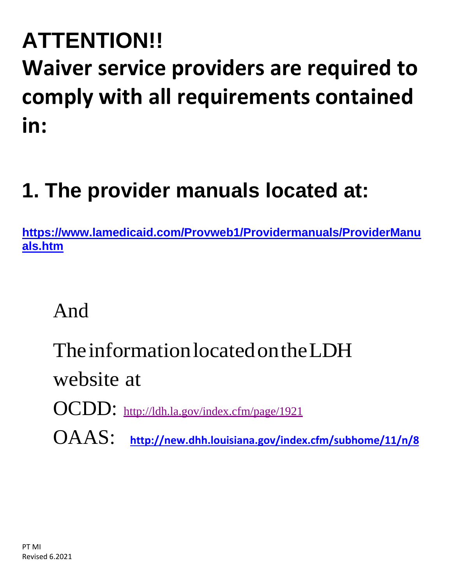# **ATTENTION!! Waiver service providers are required to comply with all requirements contained in:**

## **1. The provider manuals located at:**

**[https://www.lamedicaid.com/Provweb1/Providermanuals/ProviderManu](https://www.lamedicaid.com/Provweb1/Providermanuals/ProviderManuals.htm) [als.htm](https://www.lamedicaid.com/Provweb1/Providermanuals/ProviderManuals.htm)**

And

## TheinformationlocatedontheLDH

website at

- OCDD: <http://ldh.la.gov/index.cfm/page/1921>
- OAAS: **<http://new.dhh.louisiana.gov/index.cfm/subhome/11/n/8>**